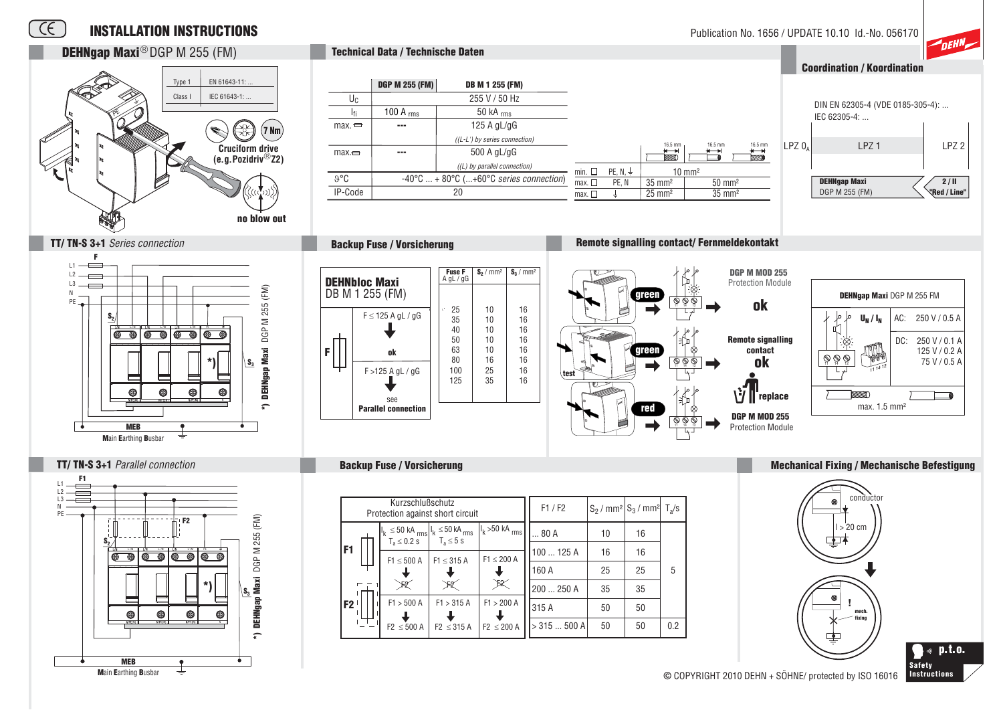

**DEHNgap Maxi**® DGP M 255 (FM)

 $\overline{f}$ 



 $L$ PZ $0<sub>n</sub>$ 

16.5 mm

 $\overline{\phantom{1}}$ 

## ™⊓EH **Coordination / Koordination**

DIN EN 62305-4 (VDE 0185-305-4): ...

LPZ<sub>2</sub>

 $2/II$ 

**Red / Line** 

I P71

IFC 62305-4

**DEHNgap Maxi** 



**Technical Data / Technische Daten** 











#### **Mechanical Fixing / Mechanische Befestigung**





**Backup Fuse / Vorsicherung** 

© COPYRIGHT 2010 DEHN + SÖHNE/ protected by ISO 16016